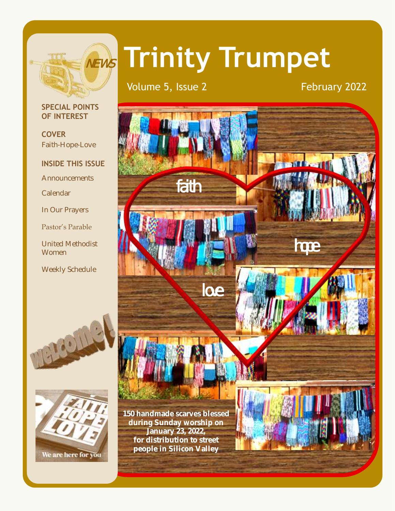

# **Trinity Trumpet**

love

Volume 5, Issue 2 February 2022

faith

## **SPECIAL POINTS OF INTEREST**

**COVER** Faith-Hope-Love

# **INSIDE THIS ISSUE**

**Announcements** 

Calendar

In Our Prayers

Pastor's Parable

United Methodist Women

Weekly Schedule





**150 handmade scarves blessed during Sunday worship on January 23, 2022, for distribution to street people in Silicon Valley** 



hope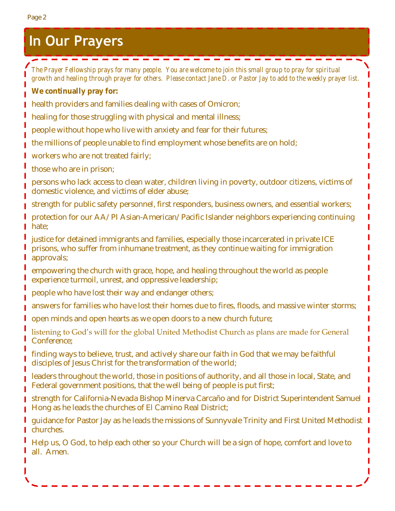# **In Our Prayers**

 $\sim$  $\sim$ 

*The Prayer Fellowship prays for many people. You are welcome to join this small group to pray for spiritual growth and healing through prayer for others. Please contact Jane D. or Pastor Jay to add to the weekly prayer list.* **We continually pray for:** health providers and families dealing with cases of Omicron; healing for those struggling with physical and mental illness; people without hope who live with anxiety and fear for their futures; the millions of people unable to find employment whose benefits are on hold; workers who are not treated fairly; those who are in prison; persons who lack access to clean water, children living in poverty, outdoor citizens, victims of domestic violence, and victims of elder abuse; strength for public safety personnel, first responders, business owners, and essential workers; protection for our AA/PI Asian-American/Pacific Islander neighbors experiencing continuing hate; justice for detained immigrants and families, especially those incarcerated in private ICE prisons, who suffer from inhumane treatment, as they continue waiting for immigration approvals; empowering the church with grace, hope, and healing throughout the world as people experience turmoil, unrest, and oppressive leadership; people who have lost their way and endanger others; answers for families who have lost their homes due to fires, floods, and massive winter storms; open minds and open hearts as we open doors to a new church future; listening to God's will for the global United Methodist Church as plans are made for General Conference; finding ways to believe, trust, and actively share our faith in God that we may be faithful disciples of Jesus Christ for the transformation of the world; leaders throughout the world, those in positions of authority, and all those in local, State, and Federal government positions, that the well being of people is put first; strength for California-Nevada Bishop Minerva Carcaño and for District Superintendent Samuel Hong as he leads the churches of El Camino Real District; guidance for Pastor Jay as he leads the missions of Sunnyvale Trinity and First United Methodist churches. Help us, O God, to help each other so your Church will be a sign of hope, comfort and love to all. Amen.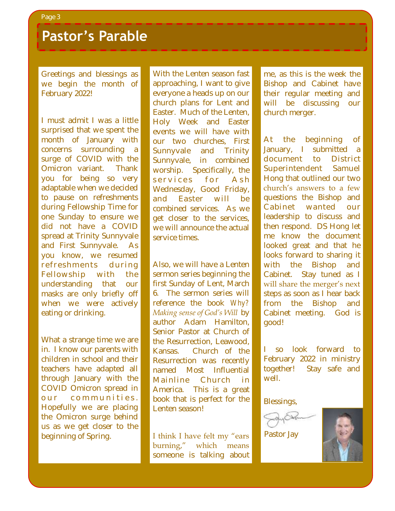# **Pastor's Parable**

Greetings and blessings as we begin the month of February 2022!

I must admit I was a little surprised that we spent the month of January with concerns surrounding a surge of COVID with the Omicron variant. Thank you for being so very adaptable when we decided to pause on refreshments during Fellowship Time for one Sunday to ensure we did not have a COVID spread at Trinity Sunnyvale and First Sunnyvale. As you know, we resumed r e freshments during Fellowship with the understanding that our masks are only briefly off when we were actively eating or drinking.

What a strange time we are in. I know our parents with children in school and their teachers have adapted all through January with the COVID Omicron spread in our communities. Hopefully we are placing the Omicron surge behind us as we get closer to the beginning of Spring.

With the Lenten season fast approaching, I want to give everyone a heads up on our church plans for Lent and Easter. Much of the Lenten, Holy Week and Easter events we will have with our two churches, First Sunnyvale and Trinity Sunnyvale, in combined worship. Specifically, the services for Ash Wednesday, Good Friday, and Easter will be combined services. As we get closer to the services, we will announce the actual service times.

Also, we will have a Lenten sermon series beginning the first Sunday of Lent, March 6. The sermon series will reference the book *Why? Making sense of God's Will* by author Adam Hamilton, Senior Pastor at Church of the Resurrection, Leawood, Kansas. Church of the Resurrection was recently named Most Influential Mainline Church in America. This is a great book that is perfect for the Lenten season!

I think I have felt my "ears burning," which means someone is talking about

me, as this is the week the Bishop and Cabinet have their regular meeting and will be discussing our church merger.

At the beginning of January, I submitted a document to District Superintendent Samuel Hong that outlined our two church's answers to a few questions the Bishop and Cabinet wanted our leadership to discuss and then respond. DS Hong let me know the document looked great and that he looks forward to sharing it with the Bishop and Cabinet. Stay tuned as I will share the merger's next steps as soon as I hear back from the Bishop and Cabinet meeting. God is good!

I so look forward to February 2022 in ministry together! Stay safe and well.

Blessings,



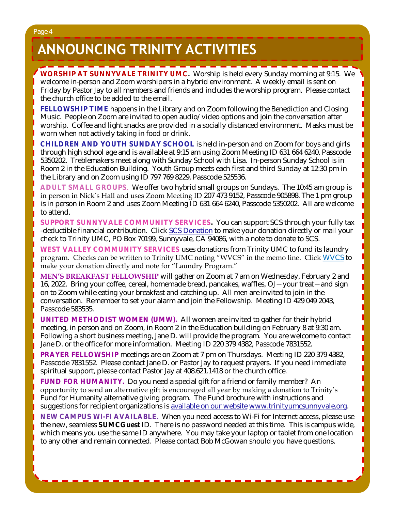# **ANNOUNCING TRINITY ACTIVITIES**

**WORSHIP AT SUNNYVALE TRINITY UMC.** Worship is held every Sunday morning at 9:15. We welcome in-person and Zoom worshipers in a hybrid environment. A weekly email is sent on Friday by Pastor Jay to all members and friends and includes the worship program. Please contact the church office to be added to the email.

**FELLOWSHIP TIME** happens in the Library and on Zoom following the Benediction and Closing Music. People on Zoom are invited to open audio/video options and join the conversation after worship. Coffee and light snacks are provided in a socially distanced environment. Masks must be worn when not actively taking in food or drink.

**CHILDREN AND YOUTH SUNDAY SCHOOL** is held in-person and on Zoom for boys and girls through high school age and is available at 9:15 am using Zoom Meeting ID 631 664 6240, Passcode 5350202. Treblemakers meet along with Sunday School with Lisa. In-person Sunday School is in Room 2 in the Education Building. Youth Group meets each first and third Sunday at 12:30 pm in the Library and on Zoom using ID 797 769 8229, Passcode 525536.

**ADULT SMALL GROUPS**. We offer two hybrid small groups on Sundays. The 10:45 am group is in person in Nick's Hall and uses Zoom Meeting ID 207 473 9152, Passcode 905898. The 1 pm group is in person in Room 2 and uses Zoom Meeting ID 631 664 6240, Passcode 5350202. All are welcome to attend.

**SUPPORT SUNNYVALE COMMUNITY SERVICES.** You can support SCS through your fully tax -deductible financial contribution. Click [SCS Donation](https://svcommunityservices.org/donate-online/) to make your donation directly or mail your check to Trinity UMC, PO Box 70199, Sunnyvale, CA 94086, with a note to donate to SCS.

**WEST VALLEY COMMUNITY SERVICES** uses donations from Trinity UMC to fund its laundry program. Checks can be written to Trinity UMC noting "WVCS" in the memo line. Click [WVCS](https://www.wvcommunityservices.org/donate-now-covid19) to make your donation directly and note for "Laundry Program."

**MEN'S BREAKFAST FELLOWSHIP** will gather on Zoom at 7 am on Wednesday, February 2 and 16, 2022. Bring your coffee, cereal, homemade bread, pancakes, waffles, OJ—your treat—and sign on to Zoom while eating your breakfast and catching up. All men are invited to join in the conversation. Remember to set your alarm and join the Fellowship. Meeting ID 429 049 2043, Passcode 583535.

**UNITED METHODIST WOMEN (UMW).** All women are invited to gather for their hybrid meeting, in person and on Zoom, in Room 2 in the Education building on February 8 at 9:30 am. Following a short business meeting, Jane D. will provide the program. You are welcome to contact Jane D. or the office for more information. Meeting ID 220 379 4382, Passcode 7831552.

**PRAYER FELLOWSHIP** meetings are on Zoom at 7 pm on Thursdays. Meeting ID 220 379 4382, Passcode 7831552. Please contact Jane D. or Pastor Jay to request prayers. If you need immediate spiritual support, please contact Pastor Jay at 408.621.1418 or the church office.

**FUND FOR HUMANITY.** Do you need a special gift for a friend or family member? An opportunity to send an alternative gift is encouraged all year by making a donation to Trinity's Fund for Humanity alternative giving program. The Fund brochure with instructions and suggestions for recipient organizations is [available on our website](http://www.trinityumcsunnyvale.org/docs/Images/2020%20Web%20Fund%20for%20Humanity.pdf) [www.trinityumcsunnyvale.org.](http://www.trinityumcsunnyvale.org)

**NEW CAMPUS WI-FI AVAILABLE.** When you need access to Wi-Fi for Internet access, please use the new, seamless **SUMCGuest** ID. There is no password needed at this time. This is campus wide, which means you use the same ID anywhere. You may take your laptop or tablet from one location to any other and remain connected. Please contact Bob McGowan should you have questions.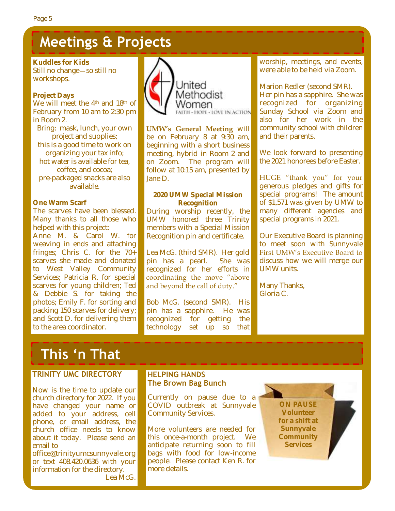# **Meetings & Projects**

**Kuddles for Kids** Still no change—so still no workshops.

## **Project Days**

We will meet the 4<sup>th</sup> and 18<sup>th</sup> of February from 10 am to 2:30 pm in Room 2.

Bring: mask, lunch, your own project and supplies; this is a good time to work on organizing your tax info; hot water is available for tea, coffee, and cocoa; pre-packaged snacks are also available.

## **One Warm Scarf**

The scarves have been blessed. Many thanks to all those who helped with this project: Anne M. & Carol W. for weaving in ends and attaching fringes; Chris C. for the 70+ scarves she made and donated to West Valley Community Services; Patricia R. for special scarves for young children; Ted & Debbie S. for taking the photos; Emily F. for sorting and packing 150 scarves for delivery; and Scott D. for delivering them to the area coordinator.



**UMW's General Meeting** will be on February 8 at 9:30 am, beginning with a short business meeting, hybrid in Room 2 and on Zoom. The program will follow at 10:15 am, presented by Jane D.

**2020 UMW Special Mission Recognition** During worship recently, the UMW honored three Trinity members with a Special Mission Recognition pin and certificate.

Lea McG. (third SMR). Her gold pin has a pearl. She was recognized for her efforts in coordinating the move "above and beyond the call of duty."

Bob McG. (second SMR). His pin has a sapphire. He was recognized for getting the technology set up so that

worship, meetings, and events, were able to be held via Zoom.

Marion Redler (second SMR). Her pin has a sapphire. She was recognized for organizing Sunday School via Zoom and also for her work in the community school with children and their parents.

We look forward to presenting the 2021 honorees before Easter.

HUGE "thank you" for your generous pledges and gifts for special programs! The amount of \$1,571 was given by UMW to many different agencies and special programs in 2021.

Our Executive Board is planning to meet soon with Sunnyvale First UMW's Executive Board to discuss how we will merge our UMW units.

Many Thanks, Gloria C.

# **This 'n That**

## **TRINITY UMC DIRECTORY**

Now is the time to update our church directory for 2022. If you have changed your name or added to your address, cell phone, or email address, the church office needs to know about it today. Please send an email to

office@trinityumcsunnyvale.org or text 408.420.0636 with your information for the directory. Lea McG.

# **HELPING HANDS The Brown Bag Bunch**

Currently on pause due to a COVID outbreak at Sunnyvale Community Services.

More volunteers are needed for this once-a-month project. We anticipate returning soon to fill bags with food for low-income people. Please contact Ken R. for more details.

**ON PAUSE Volunteer for a shift at Sunnyvale Community Services**